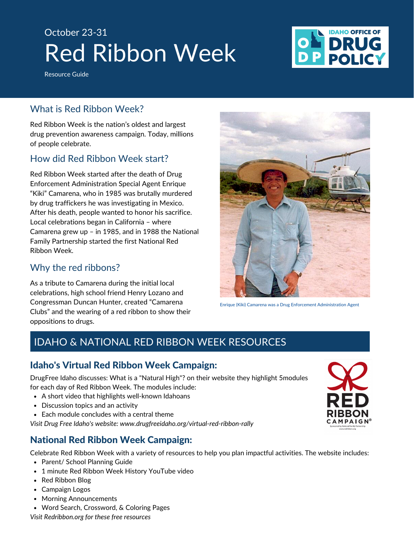# Red Ribbon Week October 23-31

**IDAHO OFFICE OF** 

Resource Guide

# What is Red Ribbon Week?

Red Ribbon Week is the nation's oldest and largest drug prevention awareness campaign. Today, millions of people celebrate.

# How did Red Ribbon Week start?

Red Ribbon Week started after the death of Drug Enforcement Administration Special Agent Enrique "Kiki" Camarena, who in 1985 was brutally murdered by drug traffickers he was investigating in Mexico. After his death, people wanted to honor his sacrifice. Local celebrations began in California – where Camarena grew up – in 1985, and in 1988 the National Family Partnership started the first National Red Ribbon Week.

## Why the red ribbons?

As a tribute to Camarena during the initial local celebrations, high school friend Henry Lozano and Congressman Duncan Hunter, created "Camarena Clubs" and the wearing of a red ribbon to show their oppositions to drugs.



Enrique (Kiki) Camarena was a Drug Enforcement Administration Agent

# IDAHO & NATIONAL RED RIBBON WEEK RESOURCES

## Idaho's Virtual Red Ribbon Week Campaign:

DrugFree Idaho discusses: What is a "Natural High"? on their website they highlight 5modules for each day of Red Ribbon Week. The modules include:

- A short video that highlights well-known Idahoans
- Discussion topics and an activity
- Each module concludes with a central theme

*Visit Drug Free Idaho's website: [www.drugfreeidaho.org/virtual-red-ribbon-rally](http://www.drugfreeidaho.org/virtual-red-ribbon-rally)*

# National Red Ribbon Week Campaign:

Celebrate Red Ribbon Week with a variety of resources to help you plan impactful activities. The website includes:

- Parent/ School Planning Guide
- 1 minute Red Ribbon Week History YouTube video
- Red Ribbon Blog
- Campaign Logos
- Morning Announcements
- Word Search, Crossword, & Coloring Pages

*Visit Redribbon.org for these free resources*